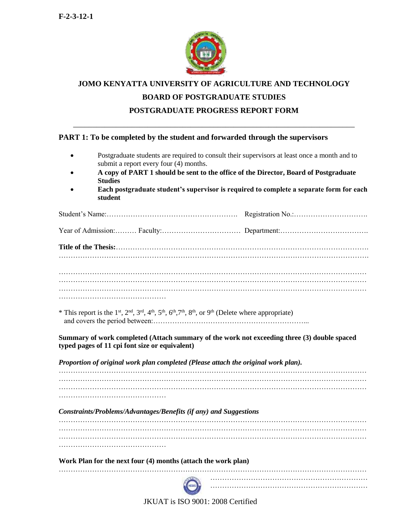

# **JOMO KENYATTA UNIVERSITY OF AGRICULTURE AND TECHNOLOGY BOARD OF POSTGRADUATE STUDIES POSTGRADUATE PROGRESS REPORT FORM**

\_\_\_\_\_\_\_\_\_\_\_\_\_\_\_\_\_\_\_\_\_\_\_\_\_\_\_\_\_\_\_\_\_\_\_\_\_\_\_\_\_\_\_\_\_\_\_\_\_\_\_\_\_\_\_\_\_\_\_\_\_\_\_\_\_\_\_\_\_\_\_\_

#### **PART 1: To be completed by the student and forwarded through the supervisors**

- Postgraduate students are required to consult their supervisors at least once a month and to submit a report every four (4) months.
- **A copy of PART 1 should be sent to the office of the Director, Board of Postgraduate Studies**
- **Each postgraduate student's supervisor is required to complete a separate form for each student**

| * This report is the 1 <sup>st</sup> , 2 <sup>nd</sup> , 3 <sup>rd</sup> , 4 <sup>th</sup> , 5 <sup>th</sup> , 6 <sup>th</sup> , 7 <sup>th</sup> , 8 <sup>th</sup> , or 9 <sup>th</sup> (Delete where appropriate) |                                                                                             |
|--------------------------------------------------------------------------------------------------------------------------------------------------------------------------------------------------------------------|---------------------------------------------------------------------------------------------|
| typed pages of 11 cpi font size or equivalent)                                                                                                                                                                     | Summary of work completed (Attach summary of the work not exceeding three (3) double spaced |
| Proportion of original work plan completed (Please attach the original work plan).                                                                                                                                 |                                                                                             |
|                                                                                                                                                                                                                    |                                                                                             |
|                                                                                                                                                                                                                    |                                                                                             |
| Constraints/Problems/Advantages/Benefits (if any) and Suggestions                                                                                                                                                  |                                                                                             |
|                                                                                                                                                                                                                    |                                                                                             |
|                                                                                                                                                                                                                    |                                                                                             |
| Work Plan for the next four (4) months (attach the work plan)                                                                                                                                                      |                                                                                             |
|                                                                                                                                                                                                                    |                                                                                             |



…………………………………………………………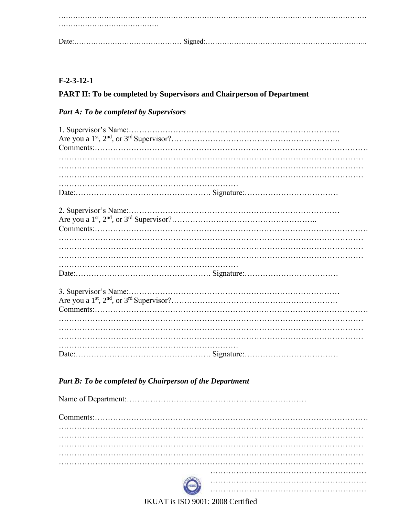## $F-2-3-12-1$

## PART II: To be completed by Supervisors and Chairperson of Department

# **Part A: To be completed by Supervisors**

## Part B: To be completed by Chairperson of the Department

| 0 |  |
|---|--|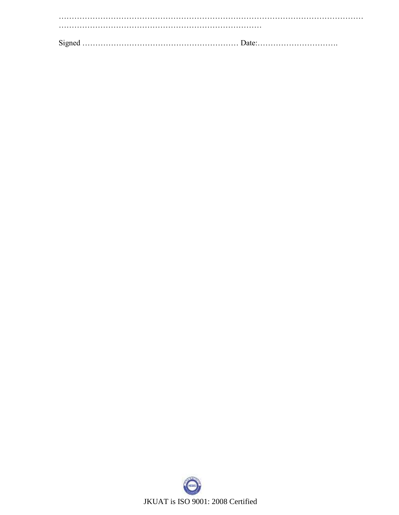